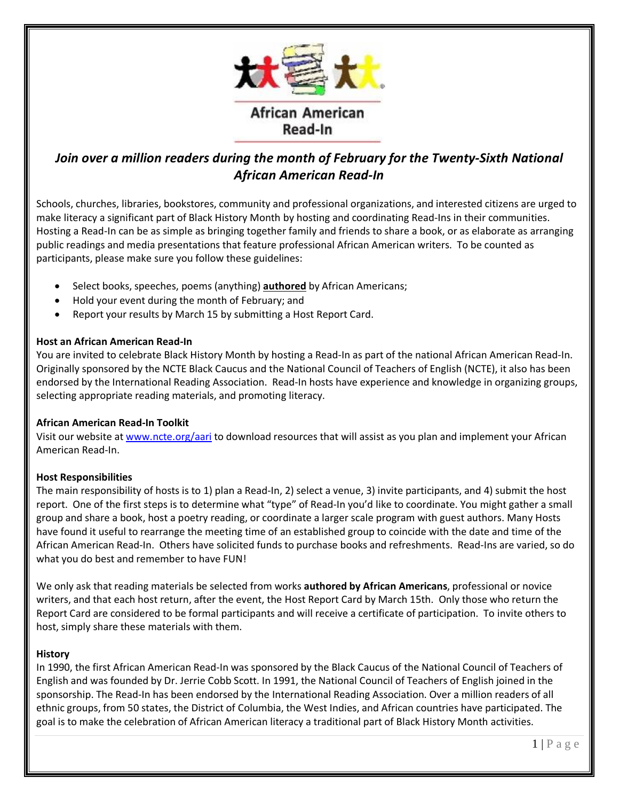

# *Join over a million readers during the month of February for the Twenty-Sixth National African American Read-In*

Schools, churches, libraries, bookstores, community and professional organizations, and interested citizens are urged to make literacy a significant part of Black History Month by hosting and coordinating Read-Ins in their communities. Hosting a Read-In can be as simple as bringing together family and friends to share a book, or as elaborate as arranging public readings and media presentations that feature professional African American writers. To be counted as participants, please make sure you follow these guidelines:

- · Select books, speeches, poems (anything) **authored** by African Americans;
- Hold your event during the month of February; and
- Report your results by March 15 by submitting a Host Report Card.

## **Host an African American Read-In**

You are invited to celebrate Black History Month by hosting a Read-In as part of the national African American Read-In. Originally sponsored by the NCTE Black Caucus and the National Council of Teachers of English (NCTE), it also has been endorsed by the International Reading Association. Read-In hosts have experience and knowledge in organizing groups, selecting appropriate reading materials, and promoting literacy.

### **African American Read-In Toolkit**

Visit our website at [www.ncte.org/aari](http://www.ncte.org/aari) to download resources that will assist as you plan and implement your African American Read-In.

### **Host Responsibilities**

The main responsibility of hosts is to 1) plan a Read-In, 2) select a venue, 3) invite participants, and 4) submit the host report. One of the first steps is to determine what "type" of Read-In you'd like to coordinate. You might gather a small group and share a book, host a poetry reading, or coordinate a larger scale program with guest authors. Many Hosts have found it useful to rearrange the meeting time of an established group to coincide with the date and time of the African American Read-In. Others have solicited funds to purchase books and refreshments. Read-Ins are varied, so do what you do best and remember to have FUN!

We only ask that reading materials be selected from works **authored by African Americans**, professional or novice writers, and that each host return, after the event, the Host Report Card by March 15th. Only those who return the Report Card are considered to be formal participants and will receive a certificate of participation. To invite others to host, simply share these materials with them.

### **History**

In 1990, the first African American Read-In was sponsored by the Black Caucus of the National Council of Teachers of English and was founded by Dr. Jerrie Cobb Scott. In 1991, the National Council of Teachers of English joined in the sponsorship. The Read-In has been endorsed by the International Reading Association. Over a million readers of all ethnic groups, from 50 states, the District of Columbia, the West Indies, and African countries have participated. The goal is to make the celebration of African American literacy a traditional part of Black History Month activities.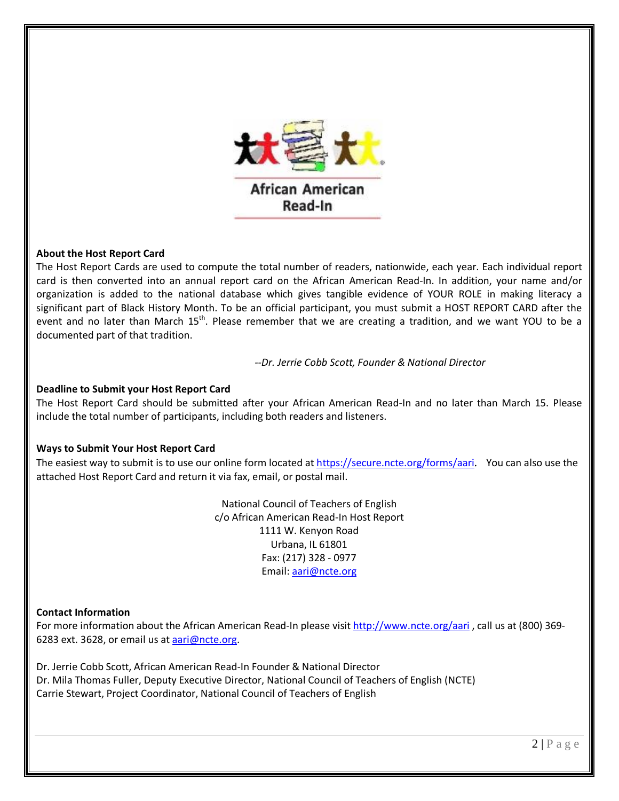

### **About the Host Report Card**

The Host Report Cards are used to compute the total number of readers, nationwide, each year. Each individual report card is then converted into an annual report card on the African American Read-In. In addition, your name and/or organization is added to the national database which gives tangible evidence of YOUR ROLE in making literacy a significant part of Black History Month. To be an official participant, you must submit a HOST REPORT CARD after the event and no later than March  $15<sup>th</sup>$ . Please remember that we are creating a tradition, and we want YOU to be a documented part of that tradition.

*--Dr. Jerrie Cobb Scott, Founder & National Director*

### **Deadline to Submit your Host Report Card**

The Host Report Card should be submitted after your African American Read-In and no later than March 15. Please include the total number of participants, including both readers and listeners.

### **Ways to Submit Your Host Report Card**

The easiest way to submit is to use our online form located at<https://secure.ncte.org/forms/aari>. You can also use the attached Host Report Card and return it via fax, email, or postal mail.

> National Council of Teachers of English c/o African American Read-In Host Report 1111 W. Kenyon Road Urbana, IL 61801 Fax: (217) 328 - 0977 Email: [aari@ncte.org](mailto:aari@ncte.org)

#### **Contact Information**

For more information about the African American Read-In please visit<http://www.ncte.org/aari>, call us at (800) 3696283 ext. 3628, or email us at [aari@ncte.org.](mailto:aari@ncte.org)

Dr. Jerrie Cobb Scott, African American Read-In Founder & National Director Dr. Mila Thomas Fuller, Deputy Executive Director, National Council of Teachers of English (NCTE) Carrie Stewart, Project Coordinator, National Council of Teachers of English